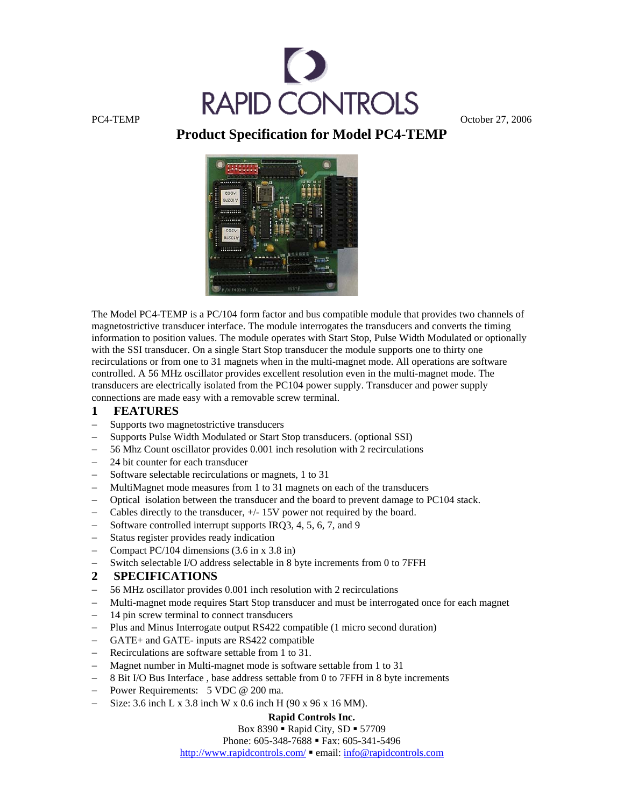

# **Product Specification for Model PC4-TEMP**



The Model PC4-TEMP is a PC/104 form factor and bus compatible module that provides two channels of magnetostrictive transducer interface. The module interrogates the transducers and converts the timing information to position values. The module operates with Start Stop, Pulse Width Modulated or optionally with the SSI transducer. On a single Start Stop transducer the module supports one to thirty one recirculations or from one to 31 magnets when in the multi-magnet mode. All operations are software controlled. A 56 MHz oscillator provides excellent resolution even in the multi-magnet mode. The transducers are electrically isolated from the PC104 power supply. Transducer and power supply connections are made easy with a removable screw terminal.

## **1 FEATURES**

- − Supports two magnetostrictive transducers
- Supports Pulse Width Modulated or Start Stop transducers. (optional SSI)
- 56 Mhz Count oscillator provides 0.001 inch resolution with 2 recirculations
- 24 bit counter for each transducer
- − Software selectable recirculations or magnets, 1 to 31
- − MultiMagnet mode measures from 1 to 31 magnets on each of the transducers
- − Optical isolation between the transducer and the board to prevent damage to PC104 stack.
- − Cables directly to the transducer, +/- 15V power not required by the board.
- Software controlled interrupt supports IRQ3, 4, 5, 6, 7, and 9
- Status register provides ready indication
- − Compact PC/104 dimensions (3.6 in x 3.8 in)
- − Switch selectable I/O address selectable in 8 byte increments from 0 to 7FFH

## **2 SPECIFICATIONS**

- − 56 MHz oscillator provides 0.001 inch resolution with 2 recirculations
- Multi-magnet mode requires Start Stop transducer and must be interrogated once for each magnet
- − 14 pin screw terminal to connect transducers
- − Plus and Minus Interrogate output RS422 compatible (1 micro second duration)
- GATE+ and GATE- inputs are RS422 compatible
- − Recirculations are software settable from 1 to 31.
- Magnet number in Multi-magnet mode is software settable from 1 to 31
- 8 Bit I/O Bus Interface, base address settable from 0 to 7FFH in 8 byte increments
- − Power Requirements: 5 VDC @ 200 ma.
- − Size: 3.6 inch L x 3.8 inch W x 0.6 inch H (90 x 96 x 16 MM).

### **Rapid Controls Inc.**

Box  $8390$   $\blacksquare$  Rapid City, SD  $\blacksquare$  57709

Phone: 605-348-7688 • Fax: 605-341-5496

http://www.rapidcontrols.com/  $\blacksquare$  email: info@rapidcontrols.com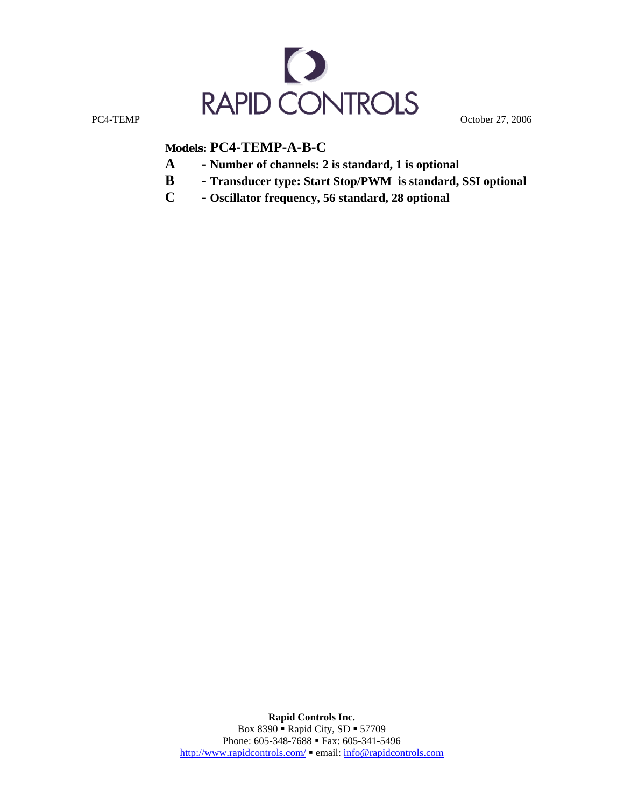

# **Models: PC4-TEMP-A-B-C**

- **A Number of channels: 2 is standard, 1 is optional**
- **B Transducer type: Start Stop/PWM is standard, SSI optional**
- **C Oscillator frequency, 56 standard, 28 optional**

**Rapid Controls Inc.**  Box 8390 • Rapid City, SD • 57709 Phone: 605-348-7688 • Fax: 605-341-5496 http://www.rapidcontrols.com/  $\bullet$  email: info@rapidcontrols.com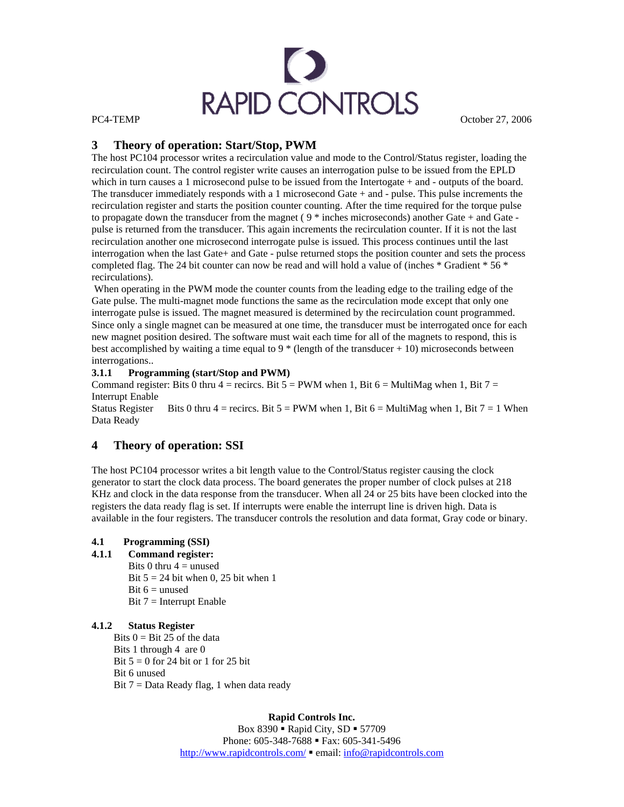

## **3 Theory of operation: Start/Stop, PWM**

The host PC104 processor writes a recirculation value and mode to the Control/Status register, loading the recirculation count. The control register write causes an interrogation pulse to be issued from the EPLD which in turn causes a 1 microsecond pulse to be issued from the Intertogate + and - outputs of the board. The transducer immediately responds with a 1 microsecond Gate + and - pulse. This pulse increments the recirculation register and starts the position counter counting. After the time required for the torque pulse to propagate down the transducer from the magnet ( 9 \* inches microseconds) another Gate + and Gate pulse is returned from the transducer. This again increments the recirculation counter. If it is not the last recirculation another one microsecond interrogate pulse is issued. This process continues until the last interrogation when the last Gate+ and Gate - pulse returned stops the position counter and sets the process completed flag. The 24 bit counter can now be read and will hold a value of (inches \* Gradient \* 56 \* recirculations).

When operating in the PWM mode the counter counts from the leading edge to the trailing edge of the Gate pulse. The multi-magnet mode functions the same as the recirculation mode except that only one interrogate pulse is issued. The magnet measured is determined by the recirculation count programmed. Since only a single magnet can be measured at one time, the transducer must be interrogated once for each new magnet position desired. The software must wait each time for all of the magnets to respond, this is best accomplished by waiting a time equal to  $9 *$  (length of the transducer  $+ 10$ ) microseconds between interrogations..

#### **3.1.1 Programming (start/Stop and PWM)**

Command register: Bits 0 thru  $4 =$  recircs. Bit  $5 =$  PWM when 1, Bit  $6 =$  MultiMag when 1, Bit  $7 =$ Interrupt Enable

Status Register Bits 0 thru 4 = recircs. Bit  $5 = PWM$  when 1, Bit  $6 = MultiMag$  when 1, Bit  $7 = 1$  When Data Ready

## **4 Theory of operation: SSI**

The host PC104 processor writes a bit length value to the Control/Status register causing the clock generator to start the clock data process. The board generates the proper number of clock pulses at 218 KHz and clock in the data response from the transducer. When all 24 or 25 bits have been clocked into the registers the data ready flag is set. If interrupts were enable the interrupt line is driven high. Data is available in the four registers. The transducer controls the resolution and data format, Gray code or binary.

### **4.1 Programming (SSI)**

- **4.1.1 Command register:**  Bits 0 thru  $4 =$  unused
	- Bit  $5 = 24$  bit when 0, 25 bit when 1 Bit  $6 =$  unused Bit 7 = Interrupt Enable

### **4.1.2 Status Register**

Bits  $0 = \text{Bit } 25$  of the data Bits 1 through 4 are 0 Bit  $5 = 0$  for 24 bit or 1 for 25 bit Bit 6 unused Bit  $7 =$  Data Ready flag, 1 when data ready

> **Rapid Controls Inc.**  Box 8390 • Rapid City, SD • 57709 Phone: 605-348-7688 • Fax: 605-341-5496 http://www.rapidcontrols.com/  $\blacksquare$  email: info@rapidcontrols.com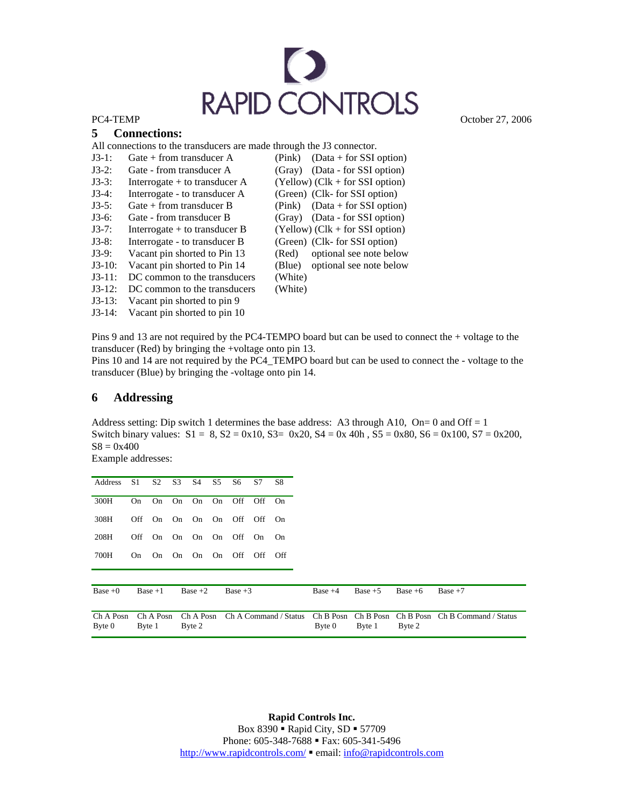

#### **5 Connections:**

All connections to the transducers are made through the J3 connector.

| $J3-1:$  | Gate $+$ from transducer A      | (Pink)  | $(Data + for SSI option)$         |
|----------|---------------------------------|---------|-----------------------------------|
| $J3-2:$  | Gate - from transducer A        | (Gray)  | (Data - for SSI option)           |
| $J3-3:$  | Interrogate $+$ to transducer A |         | $(Yellow)$ (Clk + for SSI option) |
| $J3-4:$  | Interrogate - to transducer A   |         | (Green) (Clk- for SSI option)     |
| $J3-5:$  | Gate $+$ from transducer B      | (Pink)  | $(Data + for SSI option)$         |
| $J3-6:$  | Gate - from transducer B        |         | (Gray) (Data - for SSI option)    |
| $J3-7:$  | Interrogate $+$ to transducer B |         | $(Yellow)$ (Clk + for SSI option) |
| $J3-8:$  | Interrogate - to transducer B   |         | (Green) (Clk-for SSI option)      |
| $J3-9:$  | Vacant pin shorted to Pin 13    | (Red)   | optional see note below           |
| $J3-10:$ | Vacant pin shorted to Pin 14    | (Blue)  | optional see note below           |
| $J3-11:$ | DC common to the transducers    | (White) |                                   |
| $J3-12:$ | DC common to the transducers    | (White) |                                   |
| $J3-13:$ | Vacant pin shorted to pin 9     |         |                                   |
| $J3-14:$ | Vacant pin shorted to pin 10    |         |                                   |

Pins 9 and 13 are not required by the PC4-TEMPO board but can be used to connect the + voltage to the transducer (Red) by bringing the +voltage onto pin 13.

Pins 10 and 14 are not required by the PC4\_TEMPO board but can be used to connect the - voltage to the transducer (Blue) by bringing the -voltage onto pin 14.

### **6 Addressing**

Address setting: Dip switch 1 determines the base address: A3 through A10, On= 0 and Off = 1 Switch binary values:  $S1 = 8$ ,  $S2 = 0x10$ ,  $S3 = 0x20$ ,  $S4 = 0x 40h$ ,  $S5 = 0x80$ ,  $S6 = 0x100$ ,  $S7 = 0x200$ ,  $S8 = 0x400$ 

Example addresses:

| Address             | S <sub>1</sub> | S <sub>2</sub>      | S <sub>3</sub> | S <sub>4</sub>      | S5        | S6        | S7  | S8                    |           |                     |                                  |
|---------------------|----------------|---------------------|----------------|---------------------|-----------|-----------|-----|-----------------------|-----------|---------------------|----------------------------------|
| 300H                | On             | On.                 | On             | On                  | <b>On</b> | Off       | Off | On                    |           |                     |                                  |
| 308H                | <b>Off</b>     |                     | On On          | On On               |           | Off       | Off | On                    |           |                     |                                  |
| 208H                | Off            | On.                 | On             | On                  | On        | Off       | On  | - On                  |           |                     |                                  |
| 700H                | On.            | On.                 | On             | On                  | On        | Off       | Off | Off                   |           |                     |                                  |
|                     |                |                     |                |                     |           |           |     |                       |           |                     |                                  |
| Base $+0$           |                | $Base +1$           |                | Base $+2$           |           | Base $+3$ |     |                       | Base $+4$ | Base $+5$           | Base $+6$                        |
|                     |                |                     |                |                     |           |           |     |                       |           |                     |                                  |
| Ch A Posn<br>Byte 0 |                | Ch A Posn<br>Byte 1 |                | Ch A Posn<br>Byte 2 |           |           |     | Ch A Command / Status | Byte 0    | Ch B Posn<br>Byte 1 | Ch B Posn<br>Ch B Posn<br>Byte 2 |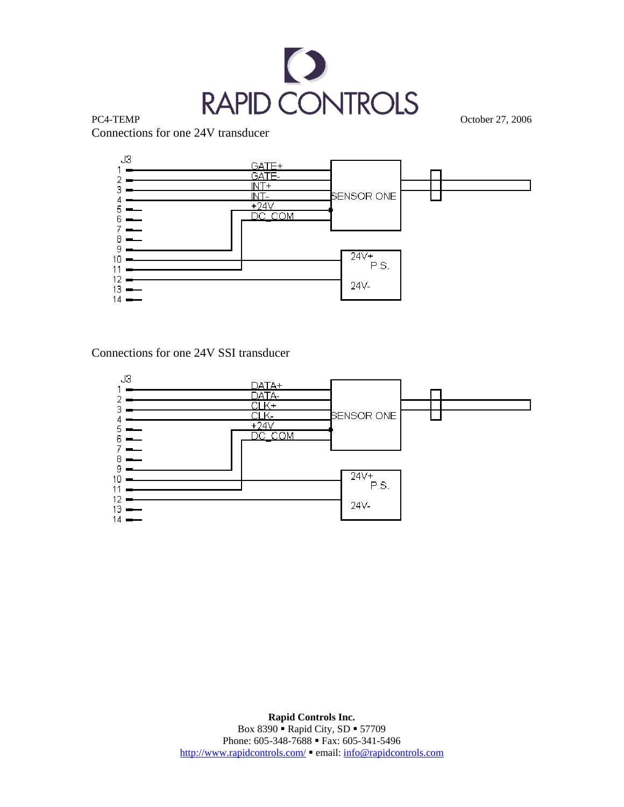

Connections for one 24V transducer



Connections for one 24V SSI transducer